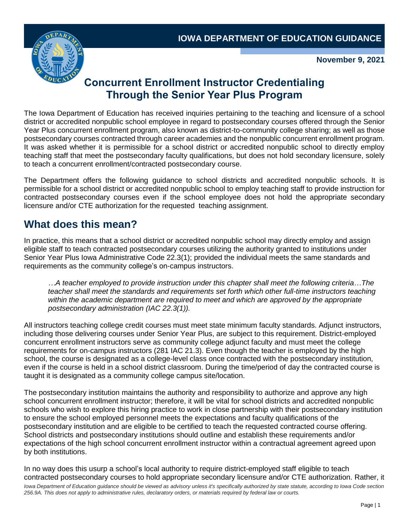

**November 9, 2021**

# **Concurrent Enrollment Instructor Credentialing Through the Senior Year Plus Program**

The Iowa Department of Education has received inquiries pertaining to the teaching and licensure of a school district or accredited nonpublic school employee in regard to postsecondary courses offered through the Senior Year Plus concurrent enrollment program, also known as district-to-community college sharing; as well as those postsecondary courses contracted through career academies and the nonpublic concurrent enrollment program. It was asked whether it is permissible for a school district or accredited nonpublic school to directly employ teaching staff that meet the postsecondary faculty qualifications, but does not hold secondary licensure, solely to teach a concurrent enrollment/contracted postsecondary course.

The Department offers the following guidance to school districts and accredited nonpublic schools. It is permissible for a school district or accredited nonpublic school to employ teaching staff to provide instruction for contracted postsecondary courses even if the school employee does not hold the appropriate secondary licensure and/or CTE authorization for the requested teaching assignment.

## **What does this mean?**

In practice, this means that a school district or accredited nonpublic school may directly employ and assign eligible staff to teach contracted postsecondary courses utilizing the authority granted to institutions under Senior Year Plus Iowa Administrative Code 22.3(1); provided the individual meets the same standards and requirements as the community college's on-campus instructors.

*…A teacher employed to provide instruction under this chapter shall meet the following criteria*…*The teacher shall meet the standards and requirements set forth which other full-time instructors teaching within the academic department are required to meet and which are approved by the appropriate postsecondary administration (IAC 22.3(1)).*

All instructors teaching college credit courses must meet state minimum faculty standards. Adjunct instructors, including those delivering courses under Senior Year Plus, are subject to this requirement. District-employed concurrent enrollment instructors serve as community college adjunct faculty and must meet the college requirements for on-campus instructors (281 IAC 21.3). Even though the teacher is employed by the high school, the course is designated as a college-level class once contracted with the postsecondary institution, even if the course is held in a school district classroom. During the time/period of day the contracted course is taught it is designated as a community college campus site/location.

The postsecondary institution maintains the authority and responsibility to authorize and approve any high school concurrent enrollment instructor; therefore, it will be vital for school districts and accredited nonpublic schools who wish to explore this hiring practice to work in close partnership with their postsecondary institution to ensure the school employed personnel meets the expectations and faculty qualifications of the postsecondary institution and are eligible to be certified to teach the requested contracted course offering. School districts and postsecondary institutions should outline and establish these requirements and/or expectations of the high school concurrent enrollment instructor within a contractual agreement agreed upon by both institutions.

Iowa Department of Education guidance should be viewed as advisory unless it's specifically authorized by state statute, according to Iowa Code section *256.9A. This does not apply to administrative rules, declaratory orders, or materials required by federal law or courts.* In no way does this usurp a school's local authority to require district-employed staff eligible to teach contracted postsecondary courses to hold appropriate secondary licensure and/or CTE authorization. Rather, it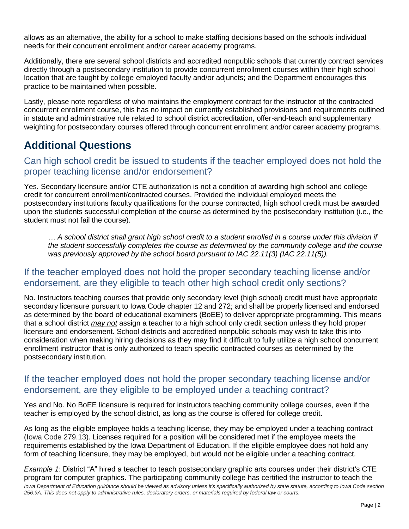allows as an alternative, the ability for a school to make staffing decisions based on the schools individual needs for their concurrent enrollment and/or career academy programs.

Additionally, there are several school districts and accredited nonpublic schools that currently contract services directly through a postsecondary institution to provide concurrent enrollment courses within their high school location that are taught by college employed faculty and/or adjuncts; and the Department encourages this practice to be maintained when possible.

Lastly, please note regardless of who maintains the employment contract for the instructor of the contracted concurrent enrollment course, this has no impact on currently established provisions and requirements outlined in statute and administrative rule related to school district accreditation, offer-and-teach and supplementary weighting for postsecondary courses offered through concurrent enrollment and/or career academy programs.

## **Additional Questions**

### Can high school credit be issued to students if the teacher employed does not hold the proper teaching license and/or endorsement?

Yes. Secondary licensure and/or CTE authorization is not a condition of awarding high school and college credit for concurrent enrollment/contracted courses. Provided the individual employed meets the postsecondary institutions faculty qualifications for the course contracted, high school credit must be awarded upon the students successful completion of the course as determined by the postsecondary institution (i.e., the student must not fail the course).

*… A school district shall grant high school credit to a student enrolled in a course under this division if the student successfully completes the course as determined by the community college and the course was previously approved by the school board pursuant to IAC 22.11(3) (IAC 22.11(5)).*

#### If the teacher employed does not hold the proper secondary teaching license and/or endorsement, are they eligible to teach other high school credit only sections?

No. Instructors teaching courses that provide only secondary level (high school) credit must have appropriate secondary licensure pursuant to Iowa Code chapter 12 and 272; and shall be properly licensed and endorsed as determined by the board of educational examiners (BoEE) to deliver appropriate programming. This means that a school district *may not* assign a teacher to a high school only credit section unless they hold proper licensure and endorsement. School districts and accredited nonpublic schools may wish to take this into consideration when making hiring decisions as they may find it difficult to fully utilize a high school concurrent enrollment instructor that is only authorized to teach specific contracted courses as determined by the postsecondary institution.

#### If the teacher employed does not hold the proper secondary teaching license and/or endorsement, are they eligible to be employed under a teaching contract?

Yes and No. No BoEE licensure is required for instructors teaching community college courses, even if the teacher is employed by the school district, as long as the course is offered for college credit.

As long as the eligible employee holds a teaching license, they may be employed under a teaching contract (Iowa Code 279.13). Licenses required for a position will be considered met if the employee meets the requirements established by the Iowa Department of Education. If the eligible employee does not hold any form of teaching licensure, they may be employed, but would not be eligible under a teaching contract.

*Iowa Department of Education guidance should be viewed as advisory unless it's specifically authorized by state statute, according to Iowa Code section 256.9A. This does not apply to administrative rules, declaratory orders, or materials required by federal law or courts. Example 1*: District "A" hired a teacher to teach postsecondary graphic arts courses under their district's CTE program for computer graphics. The participating community college has certified the instructor to teach the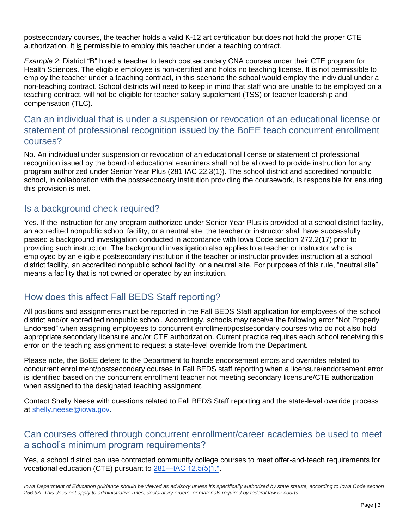postsecondary courses, the teacher holds a valid K-12 art certification but does not hold the proper CTE authorization. It is permissible to employ this teacher under a teaching contract.

*Example 2*: District "B" hired a teacher to teach postsecondary CNA courses under their CTE program for Health Sciences. The eligible employee is non-certified and holds no teaching license. It is not permissible to employ the teacher under a teaching contract, in this scenario the school would employ the individual under a non-teaching contract. School districts will need to keep in mind that staff who are unable to be employed on a teaching contract, will not be eligible for teacher salary supplement (TSS) or teacher leadership and compensation (TLC).

#### Can an individual that is under a suspension or revocation of an educational license or statement of professional recognition issued by the BoEE teach concurrent enrollment courses?

No. An individual under suspension or revocation of an educational license or statement of professional recognition issued by the board of educational examiners shall not be allowed to provide instruction for any program authorized under Senior Year Plus (281 IAC 22.3(1)). The school district and accredited nonpublic school, in collaboration with the postsecondary institution providing the coursework, is responsible for ensuring this provision is met.

#### Is a background check required?

Yes. If the instruction for any program authorized under Senior Year Plus is provided at a school district facility, an accredited nonpublic school facility, or a neutral site, the teacher or instructor shall have successfully passed a background investigation conducted in accordance with Iowa Code section 272.2(17) prior to providing such instruction. The background investigation also applies to a teacher or instructor who is employed by an eligible postsecondary institution if the teacher or instructor provides instruction at a school district facility, an accredited nonpublic school facility, or a neutral site. For purposes of this rule, "neutral site" means a facility that is not owned or operated by an institution.

### How does this affect Fall BEDS Staff reporting?

All positions and assignments must be reported in the Fall BEDS Staff application for employees of the school district and/or accredited nonpublic school. Accordingly, schools may receive the following error "Not Properly Endorsed" when assigning employees to concurrent enrollment/postsecondary courses who do not also hold appropriate secondary licensure and/or CTE authorization. Current practice requires each school receiving this error on the teaching assignment to request a state-level override from the Department.

Please note, the BoEE defers to the Department to handle endorsement errors and overrides related to concurrent enrollment/postsecondary courses in Fall BEDS staff reporting when a licensure/endorsement error is identified based on the concurrent enrollment teacher not meeting secondary licensure/CTE authorization when assigned to the designated teaching assignment.

Contact Shelly Neese with questions related to Fall BEDS Staff reporting and the state-level override process at [shelly.neese@iowa.gov.](mailto:shelly.neese@iowa.gov)

#### Can courses offered through concurrent enrollment/career academies be used to meet a school's minimum program requirements?

Yes, a school district can use contracted community college courses to meet offer-and-teach requirements for vocational education (CTE) pursuant to [281—IAC 12.5\(5\)"i.".](https://www.legis.iowa.gov/docs/iac/rule/281.12.5.pdf)

Iowa Department of Education guidance should be viewed as advisory unless it's specifically authorized by state statute, according to Iowa Code section *256.9A. This does not apply to administrative rules, declaratory orders, or materials required by federal law or courts.*